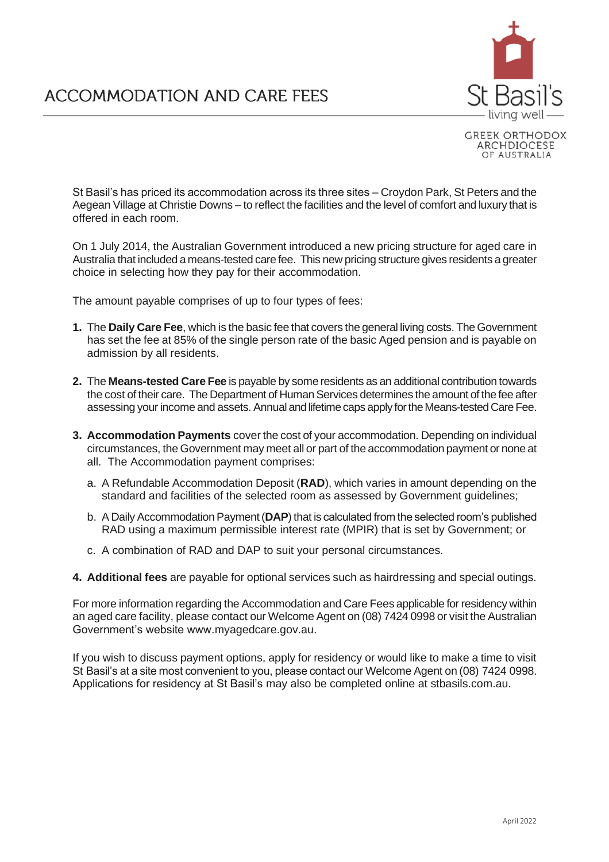



**GREEK ORTHODOX** ARCHDIOCESE OF AUSTRALIA

St Basil's has priced its accommodation across its three sites – Croydon Park, St Peters and the Aegean Village at Christie Downs – to reflect the facilities and the level of comfort and luxury that is offered in each room.

On 1 July 2014, the Australian Government introduced a new pricing structure for aged care in Australia that included a means-tested care fee. This new pricing structure gives residents a greater choice in selecting how they pay for their accommodation.

The amount payable comprises of up to four types of fees:

- **1.** The **Daily Care Fee**, which is the basic fee that covers the general living costs. The Government has set the fee at 85% of the single person rate of the basic Aged pension and is payable on admission by all residents.
- **2.** The **Means-tested Care Fee** is payable by some residents as an additional contribution towards the cost of their care. The Department of Human Services determines the amount of the fee after assessing your income and assets. Annual and lifetime caps apply for the Means-tested Care Fee.
- **3. Accommodation Payments** cover the cost of your accommodation. Depending on individual circumstances, the Government may meet all or part of the accommodation payment or none at all. The Accommodation payment comprises:
	- a. A Refundable Accommodation Deposit (**RAD**), which varies in amount depending on the standard and facilities of the selected room as assessed by Government guidelines;
	- b. A Daily Accommodation Payment (**DAP**) that is calculated from the selected room's published RAD using a maximum permissible interest rate (MPIR) that is set by Government; or
	- c. A combination of RAD and DAP to suit your personal circumstances.
- **4. Additional fees** are payable for optional services such as hairdressing and special outings.

For more information regarding the Accommodation and Care Fees applicable for residency within an aged care facility, please contact our Welcome Agent on (08) 7424 0998 or visit the Australian Government's website www.myagedcare.gov.au.

If you wish to discuss payment options, apply for residency or would like to make a time to visit St Basil's at a site most convenient to you, please contact our Welcome Agent on (08) 7424 0998. Applications for residency at St Basil's may also be completed online at stbasils.com.au.